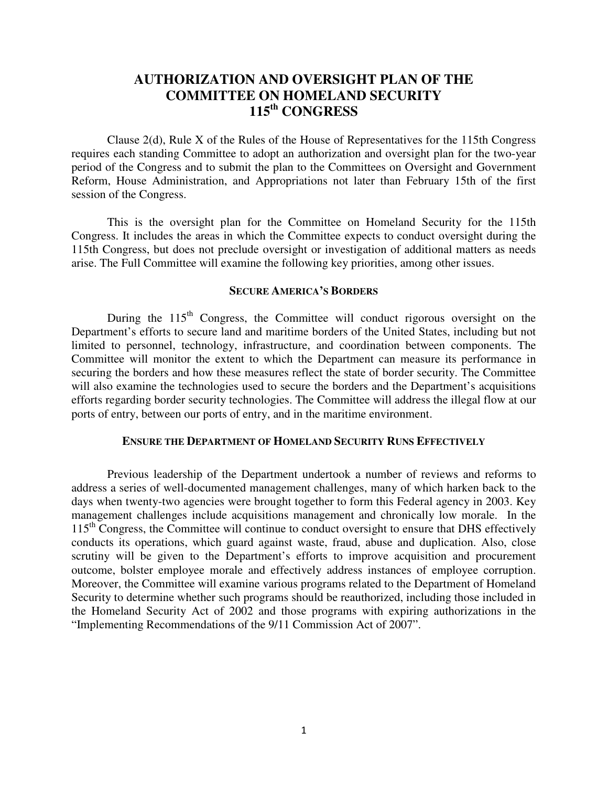# **AUTHORIZATION AND OVERSIGHT PLAN OF THE COMMITTEE ON HOMELAND SECURITY 115th CONGRESS**

Clause 2(d), Rule X of the Rules of the House of Representatives for the 115th Congress requires each standing Committee to adopt an authorization and oversight plan for the two-year period of the Congress and to submit the plan to the Committees on Oversight and Government Reform, House Administration, and Appropriations not later than February 15th of the first session of the Congress.

This is the oversight plan for the Committee on Homeland Security for the 115th Congress. It includes the areas in which the Committee expects to conduct oversight during the 115th Congress, but does not preclude oversight or investigation of additional matters as needs arise. The Full Committee will examine the following key priorities, among other issues.

### **SECURE AMERICA'S BORDERS**

During the  $115<sup>th</sup>$  Congress, the Committee will conduct rigorous oversight on the Department's efforts to secure land and maritime borders of the United States, including but not limited to personnel, technology, infrastructure, and coordination between components. The Committee will monitor the extent to which the Department can measure its performance in securing the borders and how these measures reflect the state of border security. The Committee will also examine the technologies used to secure the borders and the Department's acquisitions efforts regarding border security technologies. The Committee will address the illegal flow at our ports of entry, between our ports of entry, and in the maritime environment.

### **ENSURE THE DEPARTMENT OF HOMELAND SECURITY RUNS EFFECTIVELY**

Previous leadership of the Department undertook a number of reviews and reforms to address a series of well-documented management challenges, many of which harken back to the days when twenty-two agencies were brought together to form this Federal agency in 2003. Key management challenges include acquisitions management and chronically low morale. In the 115<sup>th</sup> Congress, the Committee will continue to conduct oversight to ensure that DHS effectively conducts its operations, which guard against waste, fraud, abuse and duplication. Also, close scrutiny will be given to the Department's efforts to improve acquisition and procurement outcome, bolster employee morale and effectively address instances of employee corruption. Moreover, the Committee will examine various programs related to the Department of Homeland Security to determine whether such programs should be reauthorized, including those included in the Homeland Security Act of 2002 and those programs with expiring authorizations in the "Implementing Recommendations of the 9/11 Commission Act of 2007".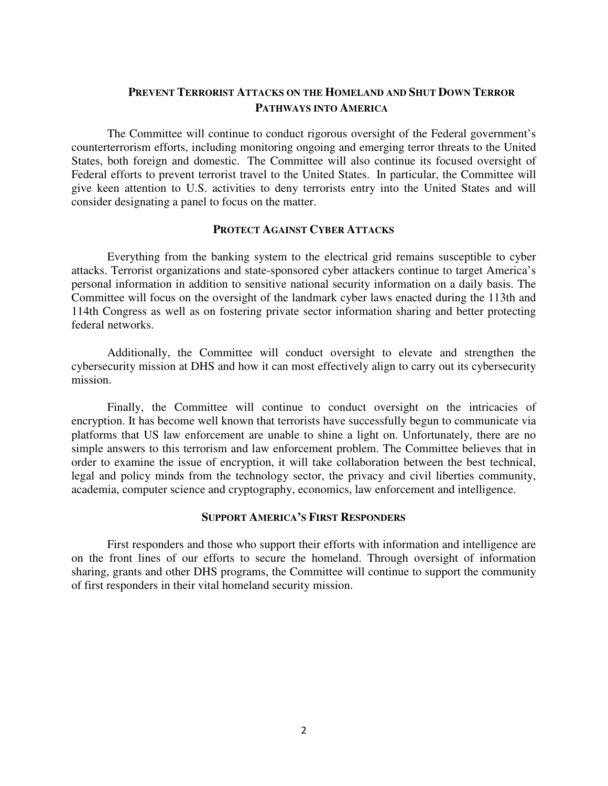## **PREVENT TERRORIST ATTACKS ON THE HOMELAND AND SHUT DOWN TERROR PATHWAYS INTO AMERICA**

The Committee will continue to conduct rigorous oversight of the Federal government's counterterrorism efforts, including monitoring ongoing and emerging terror threats to the United States, both foreign and domestic. The Committee will also continue its focused oversight of Federal efforts to prevent terrorist travel to the United States. In particular, the Committee will give keen attention to U.S. activities to deny terrorists entry into the United States and will consider designating a panel to focus on the matter.

## **PROTECT AGAINST CYBER ATTACKS**

Everything from the banking system to the electrical grid remains susceptible to cyber attacks. Terrorist organizations and state-sponsored cyber attackers continue to target America's personal information in addition to sensitive national security information on a daily basis. The Committee will focus on the oversight of the landmark cyber laws enacted during the 113th and 114th Congress as well as on fostering private sector information sharing and better protecting federal networks.

Additionally, the Committee will conduct oversight to elevate and strengthen the cybersecurity mission at DHS and how it can most effectively align to carry out its cybersecurity mission.

Finally, the Committee will continue to conduct oversight on the intricacies of encryption. It has become well known that terrorists have successfully begun to communicate via platforms that US law enforcement are unable to shine a light on. Unfortunately, there are no simple answers to this terrorism and law enforcement problem. The Committee believes that in order to examine the issue of encryption, it will take collaboration between the best technical, legal and policy minds from the technology sector, the privacy and civil liberties community, academia, computer science and cryptography, economics, law enforcement and intelligence.

### **SUPPORT AMERICA'S FIRST RESPONDERS**

First responders and those who support their efforts with information and intelligence are on the front lines of our efforts to secure the homeland. Through oversight of information sharing, grants and other DHS programs, the Committee will continue to support the community of first responders in their vital homeland security mission.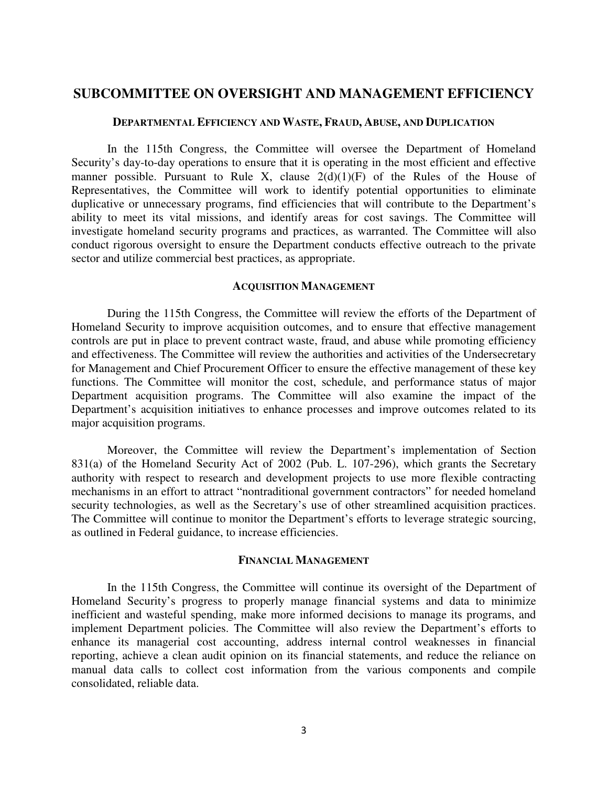# **SUBCOMMITTEE ON OVERSIGHT AND MANAGEMENT EFFICIENCY**

### **DEPARTMENTAL EFFICIENCY AND WASTE, FRAUD, ABUSE, AND DUPLICATION**

In the 115th Congress, the Committee will oversee the Department of Homeland Security's day-to-day operations to ensure that it is operating in the most efficient and effective manner possible. Pursuant to Rule X, clause  $2(d)(1)(F)$  of the Rules of the House of Representatives, the Committee will work to identify potential opportunities to eliminate duplicative or unnecessary programs, find efficiencies that will contribute to the Department's ability to meet its vital missions, and identify areas for cost savings. The Committee will investigate homeland security programs and practices, as warranted. The Committee will also conduct rigorous oversight to ensure the Department conducts effective outreach to the private sector and utilize commercial best practices, as appropriate.

### **ACQUISITION MANAGEMENT**

During the 115th Congress, the Committee will review the efforts of the Department of Homeland Security to improve acquisition outcomes, and to ensure that effective management controls are put in place to prevent contract waste, fraud, and abuse while promoting efficiency and effectiveness. The Committee will review the authorities and activities of the Undersecretary for Management and Chief Procurement Officer to ensure the effective management of these key functions. The Committee will monitor the cost, schedule, and performance status of major Department acquisition programs. The Committee will also examine the impact of the Department's acquisition initiatives to enhance processes and improve outcomes related to its major acquisition programs.

Moreover, the Committee will review the Department's implementation of Section 831(a) of the Homeland Security Act of 2002 (Pub. L. 107-296), which grants the Secretary authority with respect to research and development projects to use more flexible contracting mechanisms in an effort to attract "nontraditional government contractors" for needed homeland security technologies, as well as the Secretary's use of other streamlined acquisition practices. The Committee will continue to monitor the Department's efforts to leverage strategic sourcing, as outlined in Federal guidance, to increase efficiencies.

### **FINANCIAL MANAGEMENT**

In the 115th Congress, the Committee will continue its oversight of the Department of Homeland Security's progress to properly manage financial systems and data to minimize inefficient and wasteful spending, make more informed decisions to manage its programs, and implement Department policies. The Committee will also review the Department's efforts to enhance its managerial cost accounting, address internal control weaknesses in financial reporting, achieve a clean audit opinion on its financial statements, and reduce the reliance on manual data calls to collect cost information from the various components and compile consolidated, reliable data.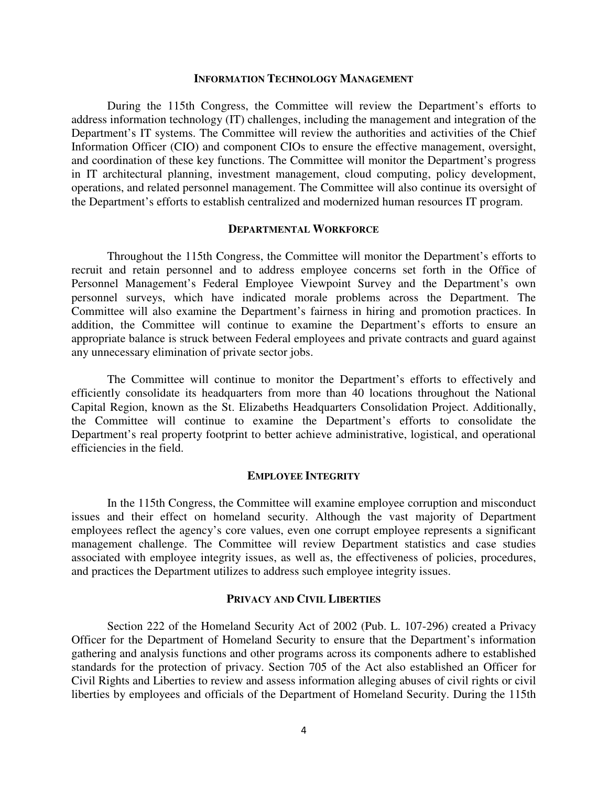#### **INFORMATION TECHNOLOGY MANAGEMENT**

During the 115th Congress, the Committee will review the Department's efforts to address information technology (IT) challenges, including the management and integration of the Department's IT systems. The Committee will review the authorities and activities of the Chief Information Officer (CIO) and component CIOs to ensure the effective management, oversight, and coordination of these key functions. The Committee will monitor the Department's progress in IT architectural planning, investment management, cloud computing, policy development, operations, and related personnel management. The Committee will also continue its oversight of the Department's efforts to establish centralized and modernized human resources IT program.

## **DEPARTMENTAL WORKFORCE**

Throughout the 115th Congress, the Committee will monitor the Department's efforts to recruit and retain personnel and to address employee concerns set forth in the Office of Personnel Management's Federal Employee Viewpoint Survey and the Department's own personnel surveys, which have indicated morale problems across the Department. The Committee will also examine the Department's fairness in hiring and promotion practices. In addition, the Committee will continue to examine the Department's efforts to ensure an appropriate balance is struck between Federal employees and private contracts and guard against any unnecessary elimination of private sector jobs.

The Committee will continue to monitor the Department's efforts to effectively and efficiently consolidate its headquarters from more than 40 locations throughout the National Capital Region, known as the St. Elizabeths Headquarters Consolidation Project. Additionally, the Committee will continue to examine the Department's efforts to consolidate the Department's real property footprint to better achieve administrative, logistical, and operational efficiencies in the field.

### **EMPLOYEE INTEGRITY**

In the 115th Congress, the Committee will examine employee corruption and misconduct issues and their effect on homeland security. Although the vast majority of Department employees reflect the agency's core values, even one corrupt employee represents a significant management challenge. The Committee will review Department statistics and case studies associated with employee integrity issues, as well as, the effectiveness of policies, procedures, and practices the Department utilizes to address such employee integrity issues.

### **PRIVACY AND CIVIL LIBERTIES**

Section 222 of the Homeland Security Act of 2002 (Pub. L. 107-296) created a Privacy Officer for the Department of Homeland Security to ensure that the Department's information gathering and analysis functions and other programs across its components adhere to established standards for the protection of privacy. Section 705 of the Act also established an Officer for Civil Rights and Liberties to review and assess information alleging abuses of civil rights or civil liberties by employees and officials of the Department of Homeland Security. During the 115th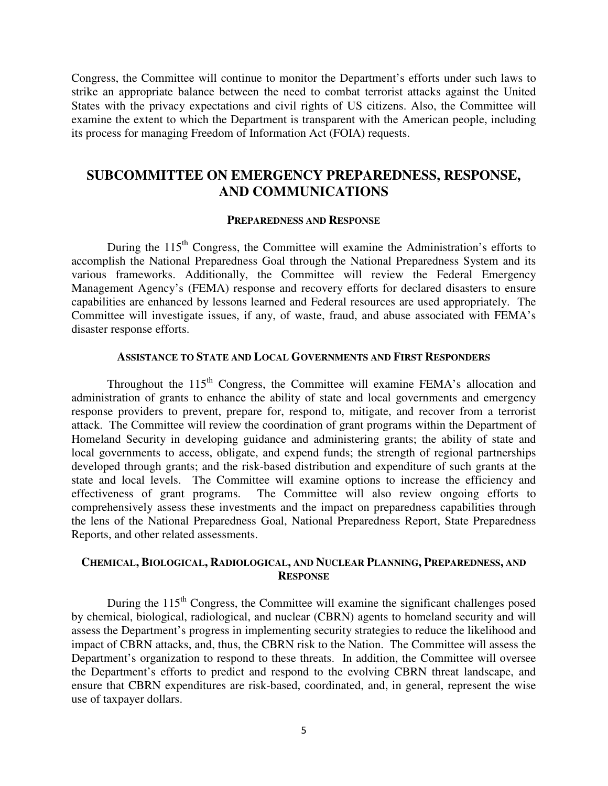Congress, the Committee will continue to monitor the Department's efforts under such laws to strike an appropriate balance between the need to combat terrorist attacks against the United States with the privacy expectations and civil rights of US citizens. Also, the Committee will examine the extent to which the Department is transparent with the American people, including its process for managing Freedom of Information Act (FOIA) requests.

# **SUBCOMMITTEE ON EMERGENCY PREPAREDNESS, RESPONSE, AND COMMUNICATIONS**

### **PREPAREDNESS AND RESPONSE**

During the  $115<sup>th</sup>$  Congress, the Committee will examine the Administration's efforts to accomplish the National Preparedness Goal through the National Preparedness System and its various frameworks. Additionally, the Committee will review the Federal Emergency Management Agency's (FEMA) response and recovery efforts for declared disasters to ensure capabilities are enhanced by lessons learned and Federal resources are used appropriately. The Committee will investigate issues, if any, of waste, fraud, and abuse associated with FEMA's disaster response efforts.

### **ASSISTANCE TO STATE AND LOCAL GOVERNMENTS AND FIRST RESPONDERS**

Throughout the  $115<sup>th</sup>$  Congress, the Committee will examine FEMA's allocation and administration of grants to enhance the ability of state and local governments and emergency response providers to prevent, prepare for, respond to, mitigate, and recover from a terrorist attack. The Committee will review the coordination of grant programs within the Department of Homeland Security in developing guidance and administering grants; the ability of state and local governments to access, obligate, and expend funds; the strength of regional partnerships developed through grants; and the risk-based distribution and expenditure of such grants at the state and local levels. The Committee will examine options to increase the efficiency and effectiveness of grant programs. The Committee will also review ongoing efforts to comprehensively assess these investments and the impact on preparedness capabilities through the lens of the National Preparedness Goal, National Preparedness Report, State Preparedness Reports, and other related assessments.

## **CHEMICAL, BIOLOGICAL, RADIOLOGICAL, AND NUCLEAR PLANNING, PREPAREDNESS, AND RESPONSE**

During the  $115<sup>th</sup>$  Congress, the Committee will examine the significant challenges posed by chemical, biological, radiological, and nuclear (CBRN) agents to homeland security and will assess the Department's progress in implementing security strategies to reduce the likelihood and impact of CBRN attacks, and, thus, the CBRN risk to the Nation. The Committee will assess the Department's organization to respond to these threats. In addition, the Committee will oversee the Department's efforts to predict and respond to the evolving CBRN threat landscape, and ensure that CBRN expenditures are risk-based, coordinated, and, in general, represent the wise use of taxpayer dollars.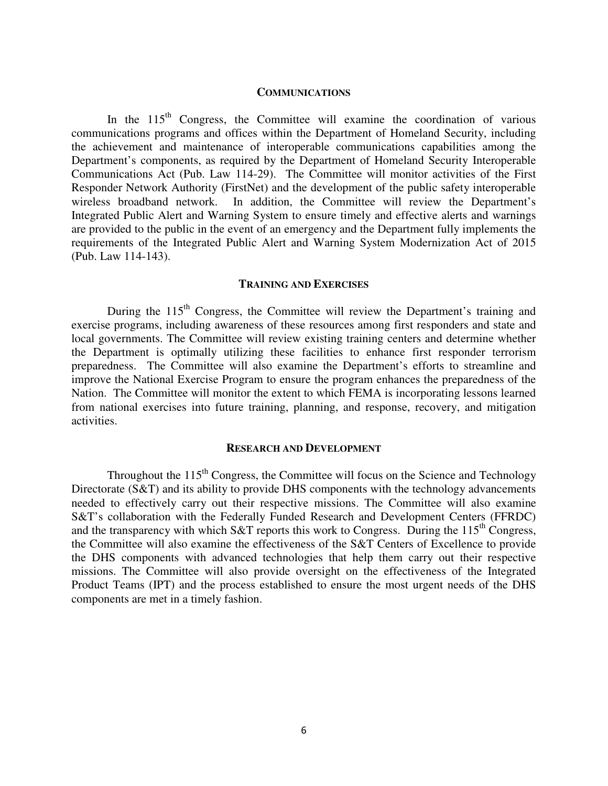### **COMMUNICATIONS**

In the  $115<sup>th</sup>$  Congress, the Committee will examine the coordination of various communications programs and offices within the Department of Homeland Security, including the achievement and maintenance of interoperable communications capabilities among the Department's components, as required by the Department of Homeland Security Interoperable Communications Act (Pub. Law 114-29). The Committee will monitor activities of the First Responder Network Authority (FirstNet) and the development of the public safety interoperable wireless broadband network. In addition, the Committee will review the Department's Integrated Public Alert and Warning System to ensure timely and effective alerts and warnings are provided to the public in the event of an emergency and the Department fully implements the requirements of the Integrated Public Alert and Warning System Modernization Act of 2015 (Pub. Law 114-143).

### **TRAINING AND EXERCISES**

During the  $115<sup>th</sup>$  Congress, the Committee will review the Department's training and exercise programs, including awareness of these resources among first responders and state and local governments. The Committee will review existing training centers and determine whether the Department is optimally utilizing these facilities to enhance first responder terrorism preparedness. The Committee will also examine the Department's efforts to streamline and improve the National Exercise Program to ensure the program enhances the preparedness of the Nation. The Committee will monitor the extent to which FEMA is incorporating lessons learned from national exercises into future training, planning, and response, recovery, and mitigation activities.

### **RESEARCH AND DEVELOPMENT**

Throughout the  $115<sup>th</sup>$  Congress, the Committee will focus on the Science and Technology Directorate (S&T) and its ability to provide DHS components with the technology advancements needed to effectively carry out their respective missions. The Committee will also examine S&T's collaboration with the Federally Funded Research and Development Centers (FFRDC) and the transparency with which S&T reports this work to Congress. During the 115<sup>th</sup> Congress, the Committee will also examine the effectiveness of the S&T Centers of Excellence to provide the DHS components with advanced technologies that help them carry out their respective missions. The Committee will also provide oversight on the effectiveness of the Integrated Product Teams (IPT) and the process established to ensure the most urgent needs of the DHS components are met in a timely fashion.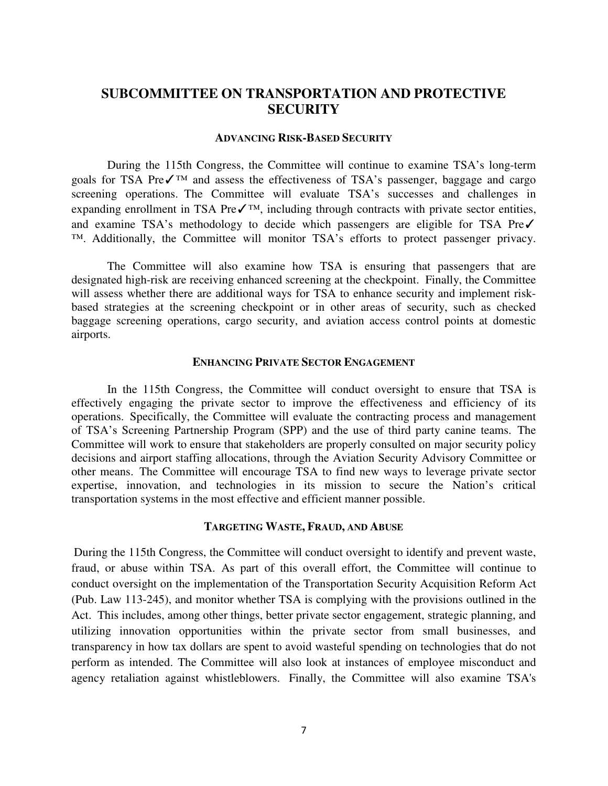# **SUBCOMMITTEE ON TRANSPORTATION AND PROTECTIVE SECURITY**

### **ADVANCING RISK-BASED SECURITY**

During the 115th Congress, the Committee will continue to examine TSA's long-term goals for TSA Pre√<sup>™</sup> and assess the effectiveness of TSA's passenger, baggage and cargo screening operations. The Committee will evaluate TSA's successes and challenges in expanding enrollment in TSA Pre $\checkmark$ <sup>TM</sup>, including through contracts with private sector entities, and examine TSA's methodology to decide which passengers are eligible for TSA Pre√ ™. Additionally, the Committee will monitor TSA's efforts to protect passenger privacy.

The Committee will also examine how TSA is ensuring that passengers that are designated high-risk are receiving enhanced screening at the checkpoint. Finally, the Committee will assess whether there are additional ways for TSA to enhance security and implement riskbased strategies at the screening checkpoint or in other areas of security, such as checked baggage screening operations, cargo security, and aviation access control points at domestic airports.

### **ENHANCING PRIVATE SECTOR ENGAGEMENT**

In the 115th Congress, the Committee will conduct oversight to ensure that TSA is effectively engaging the private sector to improve the effectiveness and efficiency of its operations. Specifically, the Committee will evaluate the contracting process and management of TSA's Screening Partnership Program (SPP) and the use of third party canine teams. The Committee will work to ensure that stakeholders are properly consulted on major security policy decisions and airport staffing allocations, through the Aviation Security Advisory Committee or other means. The Committee will encourage TSA to find new ways to leverage private sector expertise, innovation, and technologies in its mission to secure the Nation's critical transportation systems in the most effective and efficient manner possible.

#### **TARGETING WASTE, FRAUD, AND ABUSE**

During the 115th Congress, the Committee will conduct oversight to identify and prevent waste, fraud, or abuse within TSA. As part of this overall effort, the Committee will continue to conduct oversight on the implementation of the Transportation Security Acquisition Reform Act (Pub. Law 113-245), and monitor whether TSA is complying with the provisions outlined in the Act. This includes, among other things, better private sector engagement, strategic planning, and utilizing innovation opportunities within the private sector from small businesses, and transparency in how tax dollars are spent to avoid wasteful spending on technologies that do not perform as intended. The Committee will also look at instances of employee misconduct and agency retaliation against whistleblowers. Finally, the Committee will also examine TSA's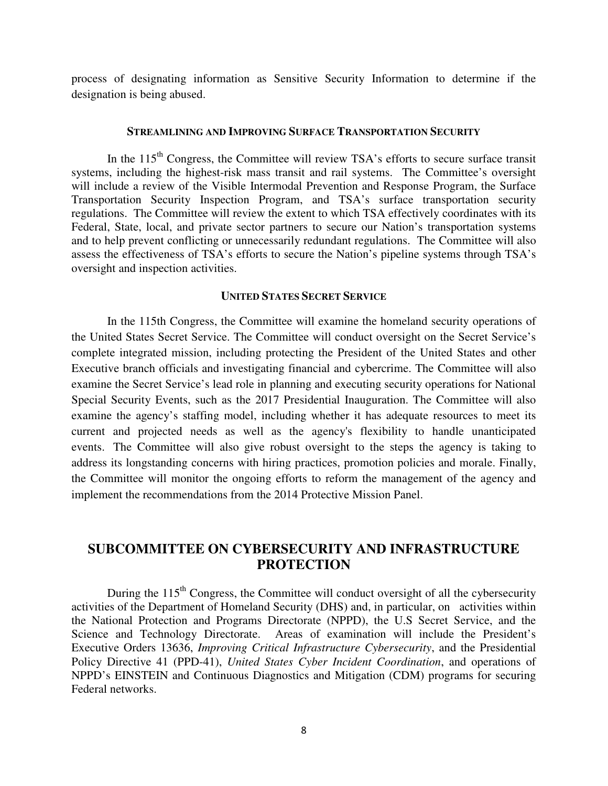process of designating information as Sensitive Security Information to determine if the designation is being abused.

### **STREAMLINING AND IMPROVING SURFACE TRANSPORTATION SECURITY**

In the  $115<sup>th</sup>$  Congress, the Committee will review TSA's efforts to secure surface transit systems, including the highest-risk mass transit and rail systems. The Committee's oversight will include a review of the Visible Intermodal Prevention and Response Program, the Surface Transportation Security Inspection Program, and TSA's surface transportation security regulations. The Committee will review the extent to which TSA effectively coordinates with its Federal, State, local, and private sector partners to secure our Nation's transportation systems and to help prevent conflicting or unnecessarily redundant regulations. The Committee will also assess the effectiveness of TSA's efforts to secure the Nation's pipeline systems through TSA's oversight and inspection activities.

### **UNITED STATES SECRET SERVICE**

In the 115th Congress, the Committee will examine the homeland security operations of the United States Secret Service. The Committee will conduct oversight on the Secret Service's complete integrated mission, including protecting the President of the United States and other Executive branch officials and investigating financial and cybercrime. The Committee will also examine the Secret Service's lead role in planning and executing security operations for National Special Security Events, such as the 2017 Presidential Inauguration. The Committee will also examine the agency's staffing model, including whether it has adequate resources to meet its current and projected needs as well as the agency's flexibility to handle unanticipated events. The Committee will also give robust oversight to the steps the agency is taking to address its longstanding concerns with hiring practices, promotion policies and morale. Finally, the Committee will monitor the ongoing efforts to reform the management of the agency and implement the recommendations from the 2014 Protective Mission Panel.

# **SUBCOMMITTEE ON CYBERSECURITY AND INFRASTRUCTURE PROTECTION**

During the  $115<sup>th</sup>$  Congress, the Committee will conduct oversight of all the cybersecurity activities of the Department of Homeland Security (DHS) and, in particular, on activities within the National Protection and Programs Directorate (NPPD), the U.S Secret Service, and the Science and Technology Directorate. Areas of examination will include the President's Executive Orders 13636, *Improving Critical Infrastructure Cybersecurity*, and the Presidential Policy Directive 41 (PPD-41), *United States Cyber Incident Coordination*, and operations of NPPD's EINSTEIN and Continuous Diagnostics and Mitigation (CDM) programs for securing Federal networks.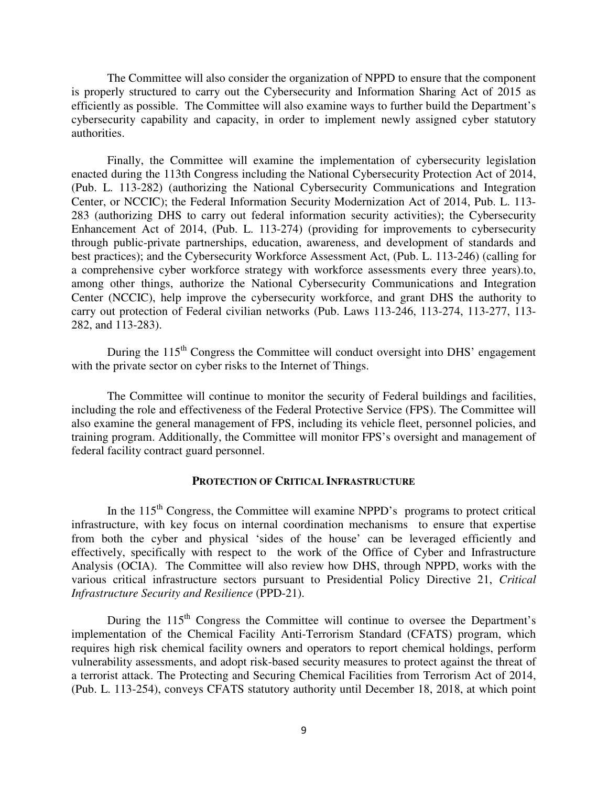The Committee will also consider the organization of NPPD to ensure that the component is properly structured to carry out the Cybersecurity and Information Sharing Act of 2015 as efficiently as possible. The Committee will also examine ways to further build the Department's cybersecurity capability and capacity, in order to implement newly assigned cyber statutory authorities.

Finally, the Committee will examine the implementation of cybersecurity legislation enacted during the 113th Congress including the National Cybersecurity Protection Act of 2014, (Pub. L. 113-282) (authorizing the National Cybersecurity Communications and Integration Center, or NCCIC); the Federal Information Security Modernization Act of 2014, Pub. L. 113- 283 (authorizing DHS to carry out federal information security activities); the Cybersecurity Enhancement Act of 2014, (Pub. L. 113-274) (providing for improvements to cybersecurity through public-private partnerships, education, awareness, and development of standards and best practices); and the Cybersecurity Workforce Assessment Act, (Pub. L. 113-246) (calling for a comprehensive cyber workforce strategy with workforce assessments every three years).to, among other things, authorize the National Cybersecurity Communications and Integration Center (NCCIC), help improve the cybersecurity workforce, and grant DHS the authority to carry out protection of Federal civilian networks (Pub. Laws 113-246, 113-274, 113-277, 113- 282, and 113-283).

During the  $115<sup>th</sup>$  Congress the Committee will conduct oversight into DHS' engagement with the private sector on cyber risks to the Internet of Things.

The Committee will continue to monitor the security of Federal buildings and facilities, including the role and effectiveness of the Federal Protective Service (FPS). The Committee will also examine the general management of FPS, including its vehicle fleet, personnel policies, and training program. Additionally, the Committee will monitor FPS's oversight and management of federal facility contract guard personnel.

### **PROTECTION OF CRITICAL INFRASTRUCTURE**

In the  $115<sup>th</sup>$  Congress, the Committee will examine NPPD's programs to protect critical infrastructure, with key focus on internal coordination mechanisms to ensure that expertise from both the cyber and physical 'sides of the house' can be leveraged efficiently and effectively, specifically with respect to the work of the Office of Cyber and Infrastructure Analysis (OCIA). The Committee will also review how DHS, through NPPD, works with the various critical infrastructure sectors pursuant to Presidential Policy Directive 21, *Critical Infrastructure Security and Resilience* (PPD-21).

During the  $115<sup>th</sup>$  Congress the Committee will continue to oversee the Department's implementation of the Chemical Facility Anti-Terrorism Standard (CFATS) program, which requires high risk chemical facility owners and operators to report chemical holdings, perform vulnerability assessments, and adopt risk-based security measures to protect against the threat of a terrorist attack. The Protecting and Securing Chemical Facilities from Terrorism Act of 2014, (Pub. L. 113-254), conveys CFATS statutory authority until December 18, 2018, at which point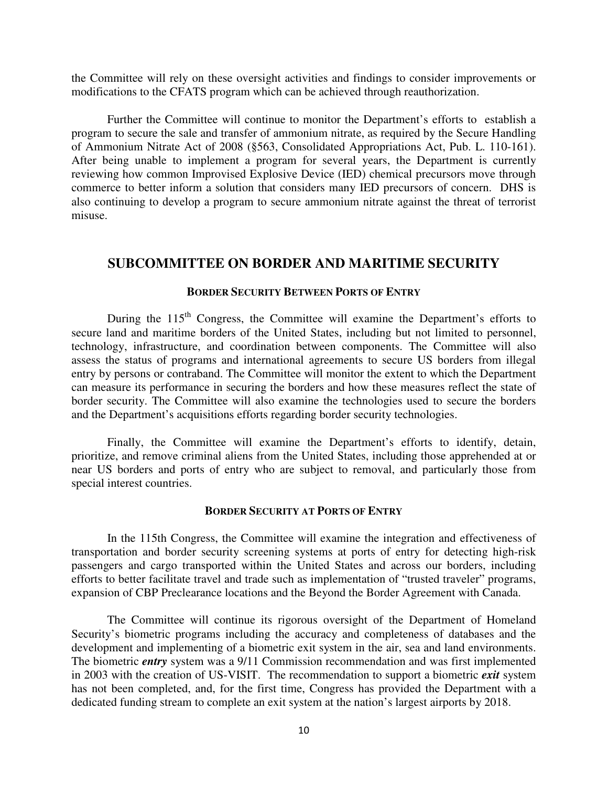the Committee will rely on these oversight activities and findings to consider improvements or modifications to the CFATS program which can be achieved through reauthorization.

Further the Committee will continue to monitor the Department's efforts to establish a program to secure the sale and transfer of ammonium nitrate, as required by the Secure Handling of Ammonium Nitrate Act of 2008 (§563, Consolidated Appropriations Act, Pub. L. 110-161). After being unable to implement a program for several years, the Department is currently reviewing how common Improvised Explosive Device (IED) chemical precursors move through commerce to better inform a solution that considers many IED precursors of concern. DHS is also continuing to develop a program to secure ammonium nitrate against the threat of terrorist misuse.

# **SUBCOMMITTEE ON BORDER AND MARITIME SECURITY**

### **BORDER SECURITY BETWEEN PORTS OF ENTRY**

During the  $115<sup>th</sup>$  Congress, the Committee will examine the Department's efforts to secure land and maritime borders of the United States, including but not limited to personnel, technology, infrastructure, and coordination between components. The Committee will also assess the status of programs and international agreements to secure US borders from illegal entry by persons or contraband. The Committee will monitor the extent to which the Department can measure its performance in securing the borders and how these measures reflect the state of border security. The Committee will also examine the technologies used to secure the borders and the Department's acquisitions efforts regarding border security technologies.

Finally, the Committee will examine the Department's efforts to identify, detain, prioritize, and remove criminal aliens from the United States, including those apprehended at or near US borders and ports of entry who are subject to removal, and particularly those from special interest countries.

### **BORDER SECURITY AT PORTS OF ENTRY**

In the 115th Congress, the Committee will examine the integration and effectiveness of transportation and border security screening systems at ports of entry for detecting high-risk passengers and cargo transported within the United States and across our borders, including efforts to better facilitate travel and trade such as implementation of "trusted traveler" programs, expansion of CBP Preclearance locations and the Beyond the Border Agreement with Canada.

The Committee will continue its rigorous oversight of the Department of Homeland Security's biometric programs including the accuracy and completeness of databases and the development and implementing of a biometric exit system in the air, sea and land environments. The biometric *entry* system was a 9/11 Commission recommendation and was first implemented in 2003 with the creation of US-VISIT. The recommendation to support a biometric *exit* system has not been completed, and, for the first time, Congress has provided the Department with a dedicated funding stream to complete an exit system at the nation's largest airports by 2018.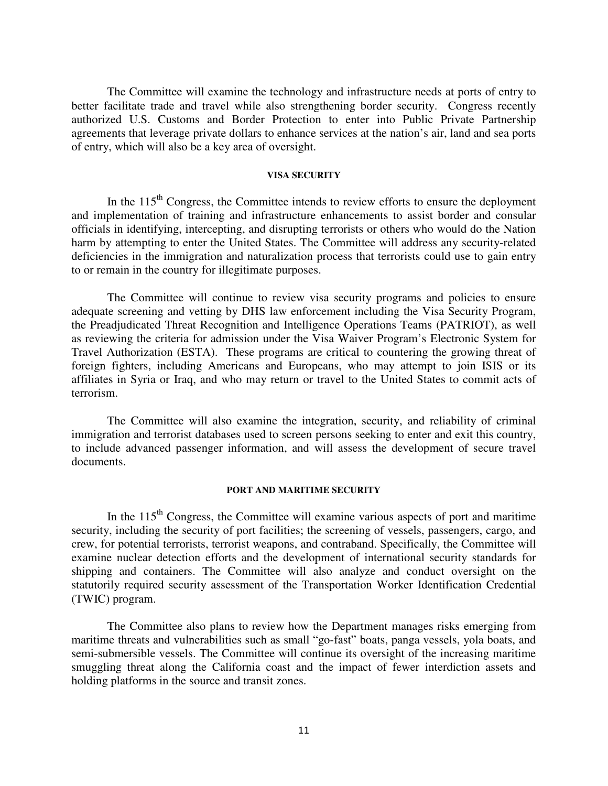The Committee will examine the technology and infrastructure needs at ports of entry to better facilitate trade and travel while also strengthening border security. Congress recently authorized U.S. Customs and Border Protection to enter into Public Private Partnership agreements that leverage private dollars to enhance services at the nation's air, land and sea ports of entry, which will also be a key area of oversight.

### **VISA SECURITY**

In the  $115<sup>th</sup>$  Congress, the Committee intends to review efforts to ensure the deployment and implementation of training and infrastructure enhancements to assist border and consular officials in identifying, intercepting, and disrupting terrorists or others who would do the Nation harm by attempting to enter the United States. The Committee will address any security-related deficiencies in the immigration and naturalization process that terrorists could use to gain entry to or remain in the country for illegitimate purposes.

The Committee will continue to review visa security programs and policies to ensure adequate screening and vetting by DHS law enforcement including the Visa Security Program, the Preadjudicated Threat Recognition and Intelligence Operations Teams (PATRIOT), as well as reviewing the criteria for admission under the Visa Waiver Program's Electronic System for Travel Authorization (ESTA). These programs are critical to countering the growing threat of foreign fighters, including Americans and Europeans, who may attempt to join ISIS or its affiliates in Syria or Iraq, and who may return or travel to the United States to commit acts of terrorism.

The Committee will also examine the integration, security, and reliability of criminal immigration and terrorist databases used to screen persons seeking to enter and exit this country, to include advanced passenger information, and will assess the development of secure travel documents.

#### **PORT AND MARITIME SECURITY**

In the  $115<sup>th</sup>$  Congress, the Committee will examine various aspects of port and maritime security, including the security of port facilities; the screening of vessels, passengers, cargo, and crew, for potential terrorists, terrorist weapons, and contraband. Specifically, the Committee will examine nuclear detection efforts and the development of international security standards for shipping and containers. The Committee will also analyze and conduct oversight on the statutorily required security assessment of the Transportation Worker Identification Credential (TWIC) program.

The Committee also plans to review how the Department manages risks emerging from maritime threats and vulnerabilities such as small "go-fast" boats, panga vessels, yola boats, and semi-submersible vessels. The Committee will continue its oversight of the increasing maritime smuggling threat along the California coast and the impact of fewer interdiction assets and holding platforms in the source and transit zones.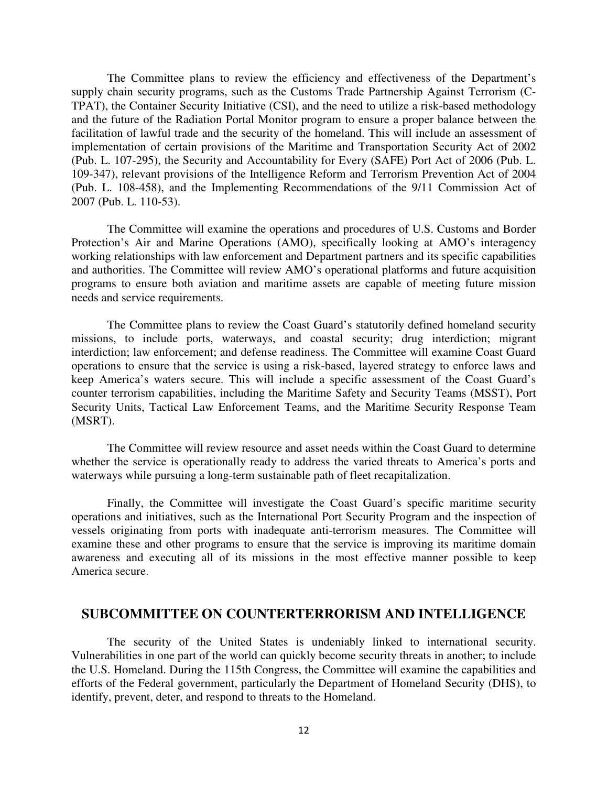The Committee plans to review the efficiency and effectiveness of the Department's supply chain security programs, such as the Customs Trade Partnership Against Terrorism (C-TPAT), the Container Security Initiative (CSI), and the need to utilize a risk-based methodology and the future of the Radiation Portal Monitor program to ensure a proper balance between the facilitation of lawful trade and the security of the homeland. This will include an assessment of implementation of certain provisions of the Maritime and Transportation Security Act of 2002 (Pub. L. 107-295), the Security and Accountability for Every (SAFE) Port Act of 2006 (Pub. L. 109-347), relevant provisions of the Intelligence Reform and Terrorism Prevention Act of 2004 (Pub. L. 108-458), and the Implementing Recommendations of the 9/11 Commission Act of 2007 (Pub. L. 110-53).

The Committee will examine the operations and procedures of U.S. Customs and Border Protection's Air and Marine Operations (AMO), specifically looking at AMO's interagency working relationships with law enforcement and Department partners and its specific capabilities and authorities. The Committee will review AMO's operational platforms and future acquisition programs to ensure both aviation and maritime assets are capable of meeting future mission needs and service requirements.

The Committee plans to review the Coast Guard's statutorily defined homeland security missions, to include ports, waterways, and coastal security; drug interdiction; migrant interdiction; law enforcement; and defense readiness. The Committee will examine Coast Guard operations to ensure that the service is using a risk-based, layered strategy to enforce laws and keep America's waters secure. This will include a specific assessment of the Coast Guard's counter terrorism capabilities, including the Maritime Safety and Security Teams (MSST), Port Security Units, Tactical Law Enforcement Teams, and the Maritime Security Response Team (MSRT).

The Committee will review resource and asset needs within the Coast Guard to determine whether the service is operationally ready to address the varied threats to America's ports and waterways while pursuing a long-term sustainable path of fleet recapitalization.

Finally, the Committee will investigate the Coast Guard's specific maritime security operations and initiatives, such as the International Port Security Program and the inspection of vessels originating from ports with inadequate anti-terrorism measures. The Committee will examine these and other programs to ensure that the service is improving its maritime domain awareness and executing all of its missions in the most effective manner possible to keep America secure.

## **SUBCOMMITTEE ON COUNTERTERRORISM AND INTELLIGENCE**

The security of the United States is undeniably linked to international security. Vulnerabilities in one part of the world can quickly become security threats in another; to include the U.S. Homeland. During the 115th Congress, the Committee will examine the capabilities and efforts of the Federal government, particularly the Department of Homeland Security (DHS), to identify, prevent, deter, and respond to threats to the Homeland.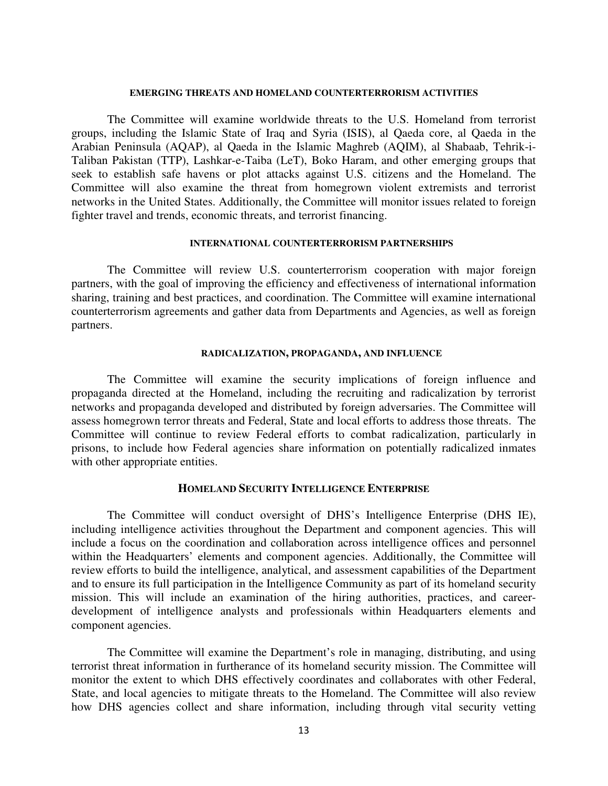### **EMERGING THREATS AND HOMELAND COUNTERTERRORISM ACTIVITIES**

The Committee will examine worldwide threats to the U.S. Homeland from terrorist groups, including the Islamic State of Iraq and Syria (ISIS), al Qaeda core, al Qaeda in the Arabian Peninsula (AQAP), al Qaeda in the Islamic Maghreb (AQIM), al Shabaab, Tehrik-i-Taliban Pakistan (TTP), Lashkar-e-Taiba (LeT), Boko Haram, and other emerging groups that seek to establish safe havens or plot attacks against U.S. citizens and the Homeland. The Committee will also examine the threat from homegrown violent extremists and terrorist networks in the United States. Additionally, the Committee will monitor issues related to foreign fighter travel and trends, economic threats, and terrorist financing.

### **INTERNATIONAL COUNTERTERRORISM PARTNERSHIPS**

The Committee will review U.S. counterterrorism cooperation with major foreign partners, with the goal of improving the efficiency and effectiveness of international information sharing, training and best practices, and coordination. The Committee will examine international counterterrorism agreements and gather data from Departments and Agencies, as well as foreign partners.

### **RADICALIZATION, PROPAGANDA, AND INFLUENCE**

The Committee will examine the security implications of foreign influence and propaganda directed at the Homeland, including the recruiting and radicalization by terrorist networks and propaganda developed and distributed by foreign adversaries. The Committee will assess homegrown terror threats and Federal, State and local efforts to address those threats. The Committee will continue to review Federal efforts to combat radicalization, particularly in prisons, to include how Federal agencies share information on potentially radicalized inmates with other appropriate entities.

### **HOMELAND SECURITY INTELLIGENCE ENTERPRISE**

The Committee will conduct oversight of DHS's Intelligence Enterprise (DHS IE), including intelligence activities throughout the Department and component agencies. This will include a focus on the coordination and collaboration across intelligence offices and personnel within the Headquarters' elements and component agencies. Additionally, the Committee will review efforts to build the intelligence, analytical, and assessment capabilities of the Department and to ensure its full participation in the Intelligence Community as part of its homeland security mission. This will include an examination of the hiring authorities, practices, and careerdevelopment of intelligence analysts and professionals within Headquarters elements and component agencies.

The Committee will examine the Department's role in managing, distributing, and using terrorist threat information in furtherance of its homeland security mission. The Committee will monitor the extent to which DHS effectively coordinates and collaborates with other Federal, State, and local agencies to mitigate threats to the Homeland. The Committee will also review how DHS agencies collect and share information, including through vital security vetting